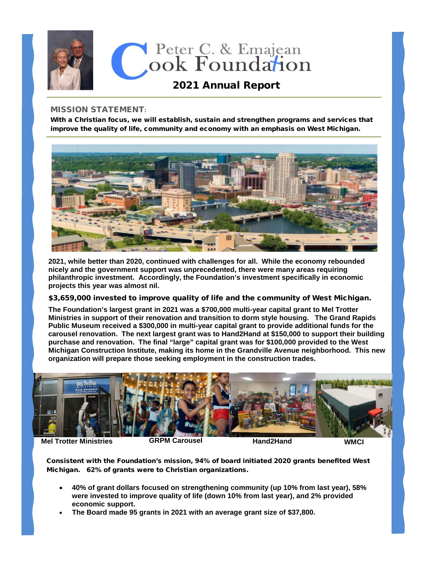

## MISSION STATEMENT**:**

With a Christian focus, we will establish, sustain and strengthen programs and services that improve the quality of life, community and economy with an emphasis on West Michigan.



**2021, while better than 2020, continued with challenges for all. While the economy rebounded nicely and the government support was unprecedented, there were many areas requiring philanthropic investment. Accordingly, the Foundation's investment specifically in economic projects this year was almost nil.**

## \$3,659,000 invested to improve quality of life and the community of West Michigan.

**The Foundation's largest grant in 2021 was a \$700,000 multi-year capital grant to Mel Trotter Ministries in support of their renovation and transition to dorm style housing. The Grand Rapids Public Museum received a \$300,000 in multi-year capital grant to provide additional funds for the carousel renovation. The next largest grant was to Hand2Hand at \$150,000 to support their building purchase and renovation. The final "large" capital grant was for \$100,000 provided to the West Michigan Construction Institute, making its home in the Grandville Avenue neighborhood. This new organization will prepare those seeking employment in the construction trades.** 



**Mel Trotter Ministries 6RPM Carousel COVID Hand2Hand WMCI** 

Consistent with the Foundation's mission, 94% of board initiated 2020 grants benefited West Michigan. 62% of grants were to Christian organizations.

- **40% of grant dollars focused on strengthening community (up 10% from last year), 58% were invested to improve quality of life (down 10% from last year), and 2% provided economic support.**
- **The Board made 95 grants in 2021 with an average grant size of \$37,800.**